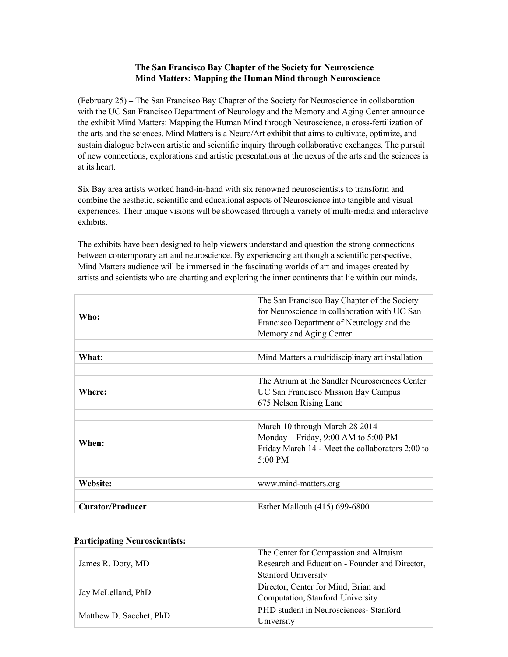# **The San Francisco Bay Chapter of the Society for Neuroscience Mind Matters: Mapping the Human Mind through Neuroscience**

(February 25) – The San Francisco Bay Chapter of the Society for Neuroscience in collaboration with the UC San Francisco Department of Neurology and the Memory and Aging Center announce the exhibit Mind Matters: Mapping the Human Mind through Neuroscience, a cross-fertilization of the arts and the sciences. Mind Matters is a Neuro/Art exhibit that aims to cultivate, optimize, and sustain dialogue between artistic and scientific inquiry through collaborative exchanges. The pursuit of new connections, explorations and artistic presentations at the nexus of the arts and the sciences is at its heart.

Six Bay area artists worked hand-in-hand with six renowned neuroscientists to transform and combine the aesthetic, scientific and educational aspects of Neuroscience into tangible and visual experiences. Their unique visions will be showcased through a variety of multi-media and interactive exhibits.

The exhibits have been designed to help viewers understand and question the strong connections between contemporary art and neuroscience. By experiencing art though a scientific perspective, Mind Matters audience will be immersed in the fascinating worlds of art and images created by artists and scientists who are charting and exploring the inner continents that lie within our minds.

| Who:                    | The San Francisco Bay Chapter of the Society<br>for Neuroscience in collaboration with UC San<br>Francisco Department of Neurology and the<br>Memory and Aging Center |
|-------------------------|-----------------------------------------------------------------------------------------------------------------------------------------------------------------------|
|                         |                                                                                                                                                                       |
| What:                   | Mind Matters a multidisciplinary art installation                                                                                                                     |
|                         |                                                                                                                                                                       |
| Where:                  | The Atrium at the Sandler Neurosciences Center<br><b>UC San Francisco Mission Bay Campus</b><br>675 Nelson Rising Lane                                                |
|                         |                                                                                                                                                                       |
| When:                   | March 10 through March 28 2014<br>Monday – Friday, $9:00$ AM to $5:00$ PM<br>Friday March 14 - Meet the collaborators 2:00 to<br>$5:00 \text{ PM}$                    |
|                         |                                                                                                                                                                       |
| Website:                | www.mind-matters.org                                                                                                                                                  |
|                         |                                                                                                                                                                       |
| <b>Curator/Producer</b> | Esther Mallouh (415) 699-6800                                                                                                                                         |

#### **Participating Neuroscientists:**

| James R. Doty, MD       | The Center for Compassion and Altruism<br>Research and Education - Founder and Director,<br><b>Stanford University</b> |
|-------------------------|------------------------------------------------------------------------------------------------------------------------|
| Jay McLelland, PhD      | Director, Center for Mind, Brian and<br>Computation, Stanford University                                               |
| Matthew D. Sacchet, PhD | PHD student in Neurosciences- Stanford<br>University                                                                   |